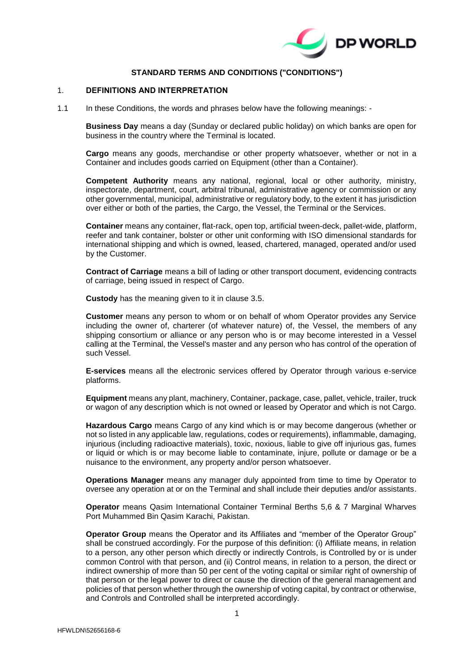

# **STANDARD TERMS AND CONDITIONS ("CONDITIONS")**

#### 1. **DEFINITIONS AND INTERPRETATION**

1.1 In these Conditions, the words and phrases below have the following meanings: -

**Business Day** means a day (Sunday or declared public holiday) on which banks are open for business in the country where the Terminal is located.

**Cargo** means any goods, merchandise or other property whatsoever, whether or not in a Container and includes goods carried on Equipment (other than a Container).

**Competent Authority** means any national, regional, local or other authority, ministry, inspectorate, department, court, arbitral tribunal, administrative agency or commission or any other governmental, municipal, administrative or regulatory body, to the extent it has jurisdiction over either or both of the parties, the Cargo, the Vessel, the Terminal or the Services.

**Container** means any container, flat-rack, open top, artificial tween-deck, pallet-wide, platform, reefer and tank container, bolster or other unit conforming with ISO dimensional standards for international shipping and which is owned, leased, chartered, managed, operated and/or used by the Customer.

**Contract of Carriage** means a bill of lading or other transport document, evidencing contracts of carriage, being issued in respect of Cargo.

**Custody** has the meaning given to it in clause [3.5.](#page-3-0)

**Customer** means any person to whom or on behalf of whom Operator provides any Service including the owner of, charterer (of whatever nature) of, the Vessel, the members of any shipping consortium or alliance or any person who is or may become interested in a Vessel calling at the Terminal, the Vessel's master and any person who has control of the operation of such Vessel.

**E-services** means all the electronic services offered by Operator through various e-service platforms.

**Equipment** means any plant, machinery, Container, package, case, pallet, vehicle, trailer, truck or wagon of any description which is not owned or leased by Operator and which is not Cargo.

**Hazardous Cargo** means Cargo of any kind which is or may become dangerous (whether or not so listed in any applicable law, regulations, codes or requirements), inflammable, damaging, injurious (including radioactive materials), toxic, noxious, liable to give off injurious gas, fumes or liquid or which is or may become liable to contaminate, injure, pollute or damage or be a nuisance to the environment, any property and/or person whatsoever.

**Operations Manager** means any manager duly appointed from time to time by Operator to oversee any operation at or on the Terminal and shall include their deputies and/or assistants.

**Operator** means Qasim International Container Terminal Berths 5,6 & 7 Marginal Wharves Port Muhammed Bin Qasim Karachi, Pakistan.

**Operator Group** means the Operator and its Affiliates and "member of the Operator Group" shall be construed accordingly. For the purpose of this definition: (i) Affiliate means, in relation to a person, any other person which directly or indirectly Controls, is Controlled by or is under common Control with that person, and (ii) Control means, in relation to a person, the direct or indirect ownership of more than 50 per cent of the voting capital or similar right of ownership of that person or the legal power to direct or cause the direction of the general management and policies of that person whether through the ownership of voting capital, by contract or otherwise, and Controls and Controlled shall be interpreted accordingly.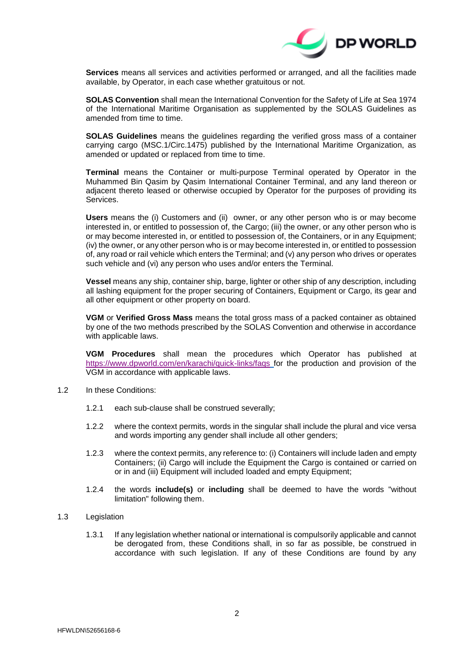

**Services** means all services and activities performed or arranged, and all the facilities made available, by Operator, in each case whether gratuitous or not.

**SOLAS Convention** shall mean the International Convention for the Safety of Life at Sea 1974 of the International Maritime Organisation as supplemented by the SOLAS Guidelines as amended from time to time.

**SOLAS Guidelines** means the guidelines regarding the verified gross mass of a container carrying cargo (MSC.1/Circ.1475) published by the International Maritime Organization, as amended or updated or replaced from time to time.

**Terminal** means the Container or multi-purpose Terminal operated by Operator in the Muhammed Bin Qasim by Qasim International Container Terminal, and any land thereon or adjacent thereto leased or otherwise occupied by Operator for the purposes of providing its **Services** 

**Users** means the (i) Customers and (ii) owner, or any other person who is or may become interested in, or entitled to possession of, the Cargo; (iii) the owner, or any other person who is or may become interested in, or entitled to possession of, the Containers, or in any Equipment; (iv) the owner, or any other person who is or may become interested in, or entitled to possession of, any road or rail vehicle which enters the Terminal; and (v) any person who drives or operates such vehicle and (vi) any person who uses and/or enters the Terminal.

**Vessel** means any ship, container ship, barge, lighter or other ship of any description, including all lashing equipment for the proper securing of Containers, Equipment or Cargo, its gear and all other equipment or other property on board.

**VGM** or **Verified Gross Mass** means the total gross mass of a packed container as obtained by one of the two methods prescribed by the SOLAS Convention and otherwise in accordance with applicable laws.

**VGM Procedures** shall mean the procedures which Operator has published at <https://www.dpworld.com/en/karachi/quick-links/faqs> for the production and provision of the VGM in accordance with applicable laws.

- 1.2 In these Conditions:
	- 1.2.1 each sub-clause shall be construed severally;
	- 1.2.2 where the context permits, words in the singular shall include the plural and vice versa and words importing any gender shall include all other genders;
	- 1.2.3 where the context permits, any reference to: (i) Containers will include laden and empty Containers; (ii) Cargo will include the Equipment the Cargo is contained or carried on or in and (iii) Equipment will included loaded and empty Equipment;
	- 1.2.4 the words **include(s)** or **including** shall be deemed to have the words "without limitation" following them.
- 1.3 Legislation
	- 1.3.1 If any legislation whether national or international is compulsorily applicable and cannot be derogated from, these Conditions shall, in so far as possible, be construed in accordance with such legislation. If any of these Conditions are found by any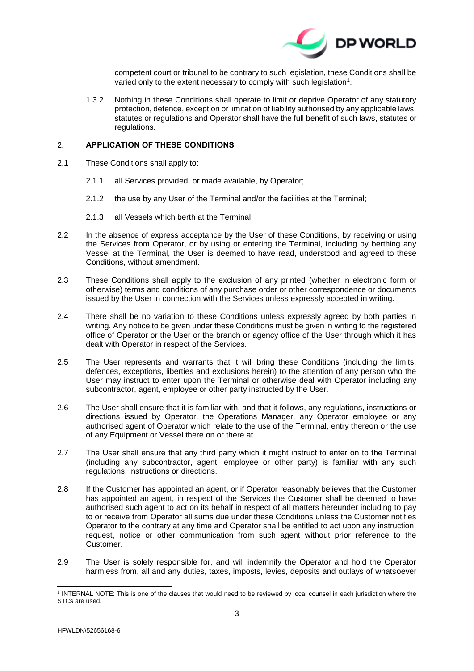

competent court or tribunal to be contrary to such legislation, these Conditions shall be varied only to the extent necessary to comply with such legislation<sup>1</sup>.

1.3.2 Nothing in these Conditions shall operate to limit or deprive Operator of any statutory protection, defence, exception or limitation of liability authorised by any applicable laws, statutes or regulations and Operator shall have the full benefit of such laws, statutes or regulations.

# 2. **APPLICATION OF THESE CONDITIONS**

- 2.1 These Conditions shall apply to:
	- 2.1.1 all Services provided, or made available, by Operator;
	- 2.1.2 the use by any User of the Terminal and/or the facilities at the Terminal;
	- 2.1.3 all Vessels which berth at the Terminal.
- 2.2 In the absence of express acceptance by the User of these Conditions, by receiving or using the Services from Operator, or by using or entering the Terminal, including by berthing any Vessel at the Terminal, the User is deemed to have read, understood and agreed to these Conditions, without amendment.
- 2.3 These Conditions shall apply to the exclusion of any printed (whether in electronic form or otherwise) terms and conditions of any purchase order or other correspondence or documents issued by the User in connection with the Services unless expressly accepted in writing.
- 2.4 There shall be no variation to these Conditions unless expressly agreed by both parties in writing. Any notice to be given under these Conditions must be given in writing to the registered office of Operator or the User or the branch or agency office of the User through which it has dealt with Operator in respect of the Services.
- 2.5 The User represents and warrants that it will bring these Conditions (including the limits, defences, exceptions, liberties and exclusions herein) to the attention of any person who the User may instruct to enter upon the Terminal or otherwise deal with Operator including any subcontractor, agent, employee or other party instructed by the User.
- 2.6 The User shall ensure that it is familiar with, and that it follows, any regulations, instructions or directions issued by Operator, the Operations Manager, any Operator employee or any authorised agent of Operator which relate to the use of the Terminal, entry thereon or the use of any Equipment or Vessel there on or there at.
- 2.7 The User shall ensure that any third party which it might instruct to enter on to the Terminal (including any subcontractor, agent, employee or other party) is familiar with any such regulations, instructions or directions.
- 2.8 If the Customer has appointed an agent, or if Operator reasonably believes that the Customer has appointed an agent, in respect of the Services the Customer shall be deemed to have authorised such agent to act on its behalf in respect of all matters hereunder including to pay to or receive from Operator all sums due under these Conditions unless the Customer notifies Operator to the contrary at any time and Operator shall be entitled to act upon any instruction, request, notice or other communication from such agent without prior reference to the Customer.
- 2.9 The User is solely responsible for, and will indemnify the Operator and hold the Operator harmless from, all and any duties, taxes, imposts, levies, deposits and outlays of whatsoever

 1 INTERNAL NOTE: This is one of the clauses that would need to be reviewed by local counsel in each jurisdiction where the STCs are used.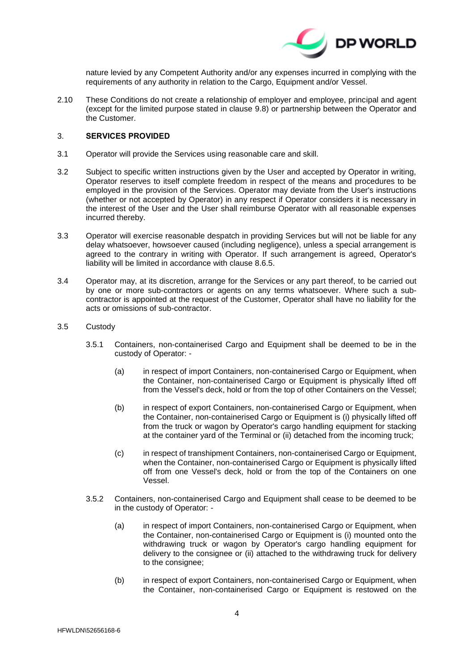

nature levied by any Competent Authority and/or any expenses incurred in complying with the requirements of any authority in relation to the Cargo, Equipment and/or Vessel.

2.10 These Conditions do not create a relationship of employer and employee, principal and agent (except for the limited purpose stated in clause [9.8\)](#page-13-0) or partnership between the Operator and the Customer.

# <span id="page-3-1"></span>3. **SERVICES PROVIDED**

- 3.1 Operator will provide the Services using reasonable care and skill.
- 3.2 Subject to specific written instructions given by the User and accepted by Operator in writing, Operator reserves to itself complete freedom in respect of the means and procedures to be employed in the provision of the Services. Operator may deviate from the User's instructions (whether or not accepted by Operator) in any respect if Operator considers it is necessary in the interest of the User and the User shall reimburse Operator with all reasonable expenses incurred thereby.
- 3.3 Operator will exercise reasonable despatch in providing Services but will not be liable for any delay whatsoever, howsoever caused (including negligence), unless a special arrangement is agreed to the contrary in writing with Operator. If such arrangement is agreed, Operator's liability will be limited in accordance with clause [8.6.5.](#page-11-0)
- 3.4 Operator may, at its discretion, arrange for the Services or any part thereof, to be carried out by one or more sub-contractors or agents on any terms whatsoever. Where such a subcontractor is appointed at the request of the Customer, Operator shall have no liability for the acts or omissions of sub-contractor.
- <span id="page-3-0"></span>3.5 Custody
	- 3.5.1 Containers, non-containerised Cargo and Equipment shall be deemed to be in the custody of Operator: -
		- (a) in respect of import Containers, non-containerised Cargo or Equipment, when the Container, non-containerised Cargo or Equipment is physically lifted off from the Vessel's deck, hold or from the top of other Containers on the Vessel;
		- (b) in respect of export Containers, non-containerised Cargo or Equipment, when the Container, non-containerised Cargo or Equipment is (i) physically lifted off from the truck or wagon by Operator's cargo handling equipment for stacking at the container yard of the Terminal or (ii) detached from the incoming truck;
		- (c) in respect of transhipment Containers, non-containerised Cargo or Equipment, when the Container, non-containerised Cargo or Equipment is physically lifted off from one Vessel's deck, hold or from the top of the Containers on one Vessel.
	- 3.5.2 Containers, non-containerised Cargo and Equipment shall cease to be deemed to be in the custody of Operator: -
		- (a) in respect of import Containers, non-containerised Cargo or Equipment, when the Container, non-containerised Cargo or Equipment is (i) mounted onto the withdrawing truck or wagon by Operator's cargo handling equipment for delivery to the consignee or (ii) attached to the withdrawing truck for delivery to the consignee;
		- (b) in respect of export Containers, non-containerised Cargo or Equipment, when the Container, non-containerised Cargo or Equipment is restowed on the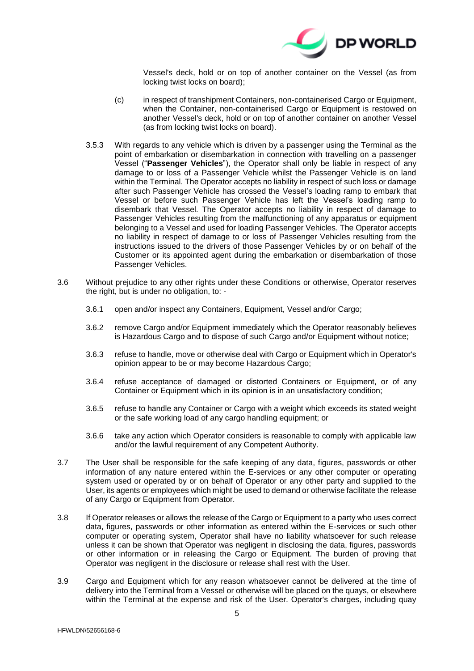

Vessel's deck, hold or on top of another container on the Vessel (as from locking twist locks on board);

- (c) in respect of transhipment Containers, non-containerised Cargo or Equipment, when the Container, non-containerised Cargo or Equipment is restowed on another Vessel's deck, hold or on top of another container on another Vessel (as from locking twist locks on board).
- 3.5.3 With regards to any vehicle which is driven by a passenger using the Terminal as the point of embarkation or disembarkation in connection with travelling on a passenger Vessel ("**Passenger Vehicles**"), the Operator shall only be liable in respect of any damage to or loss of a Passenger Vehicle whilst the Passenger Vehicle is on land within the Terminal. The Operator accepts no liability in respect of such loss or damage after such Passenger Vehicle has crossed the Vessel's loading ramp to embark that Vessel or before such Passenger Vehicle has left the Vessel's loading ramp to disembark that Vessel. The Operator accepts no liability in respect of damage to Passenger Vehicles resulting from the malfunctioning of any apparatus or equipment belonging to a Vessel and used for loading Passenger Vehicles. The Operator accepts no liability in respect of damage to or loss of Passenger Vehicles resulting from the instructions issued to the drivers of those Passenger Vehicles by or on behalf of the Customer or its appointed agent during the embarkation or disembarkation of those Passenger Vehicles.
- 3.6 Without prejudice to any other rights under these Conditions or otherwise, Operator reserves the right, but is under no obligation, to: -
	- 3.6.1 open and/or inspect any Containers, Equipment, Vessel and/or Cargo;
	- 3.6.2 remove Cargo and/or Equipment immediately which the Operator reasonably believes is Hazardous Cargo and to dispose of such Cargo and/or Equipment without notice;
	- 3.6.3 refuse to handle, move or otherwise deal with Cargo or Equipment which in Operator's opinion appear to be or may become Hazardous Cargo;
	- 3.6.4 refuse acceptance of damaged or distorted Containers or Equipment, or of any Container or Equipment which in its opinion is in an unsatisfactory condition;
	- 3.6.5 refuse to handle any Container or Cargo with a weight which exceeds its stated weight or the safe working load of any cargo handling equipment; or
	- 3.6.6 take any action which Operator considers is reasonable to comply with applicable law and/or the lawful requirement of any Competent Authority.
- 3.7 The User shall be responsible for the safe keeping of any data, figures, passwords or other information of any nature entered within the E-services or any other computer or operating system used or operated by or on behalf of Operator or any other party and supplied to the User, its agents or employees which might be used to demand or otherwise facilitate the release of any Cargo or Equipment from Operator.
- 3.8 If Operator releases or allows the release of the Cargo or Equipment to a party who uses correct data, figures, passwords or other information as entered within the E-services or such other computer or operating system, Operator shall have no liability whatsoever for such release unless it can be shown that Operator was negligent in disclosing the data, figures, passwords or other information or in releasing the Cargo or Equipment. The burden of proving that Operator was negligent in the disclosure or release shall rest with the User.
- 3.9 Cargo and Equipment which for any reason whatsoever cannot be delivered at the time of delivery into the Terminal from a Vessel or otherwise will be placed on the quays, or elsewhere within the Terminal at the expense and risk of the User. Operator's charges, including quay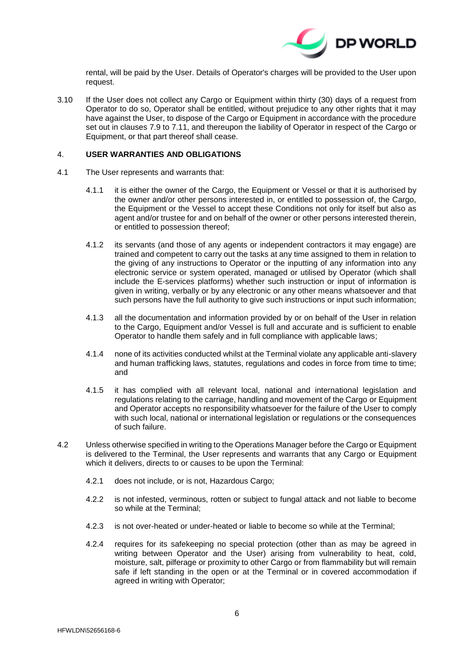

rental, will be paid by the User. Details of Operator's charges will be provided to the User upon request.

<span id="page-5-0"></span>3.10 If the User does not collect any Cargo or Equipment within thirty (30) days of a request from Operator to do so, Operator shall be entitled, without prejudice to any other rights that it may have against the User, to dispose of the Cargo or Equipment in accordance with the procedure set out in clauses [7.9](#page-9-0) to [7.11,](#page-9-1) and thereupon the liability of Operator in respect of the Cargo or Equipment, or that part thereof shall cease.

# <span id="page-5-1"></span>4. **USER WARRANTIES AND OBLIGATIONS**

- 4.1 The User represents and warrants that:
	- 4.1.1 it is either the owner of the Cargo, the Equipment or Vessel or that it is authorised by the owner and/or other persons interested in, or entitled to possession of, the Cargo, the Equipment or the Vessel to accept these Conditions not only for itself but also as agent and/or trustee for and on behalf of the owner or other persons interested therein, or entitled to possession thereof;
	- 4.1.2 its servants (and those of any agents or independent contractors it may engage) are trained and competent to carry out the tasks at any time assigned to them in relation to the giving of any instructions to Operator or the inputting of any information into any electronic service or system operated, managed or utilised by Operator (which shall include the E-services platforms) whether such instruction or input of information is given in writing, verbally or by any electronic or any other means whatsoever and that such persons have the full authority to give such instructions or input such information;
	- 4.1.3 all the documentation and information provided by or on behalf of the User in relation to the Cargo, Equipment and/or Vessel is full and accurate and is sufficient to enable Operator to handle them safely and in full compliance with applicable laws;
	- 4.1.4 none of its activities conducted whilst at the Terminal violate any applicable anti-slavery and human trafficking laws, statutes, regulations and codes in force from time to time; and
	- 4.1.5 it has complied with all relevant local, national and international legislation and regulations relating to the carriage, handling and movement of the Cargo or Equipment and Operator accepts no responsibility whatsoever for the failure of the User to comply with such local, national or international legislation or regulations or the consequences of such failure.
- 4.2 Unless otherwise specified in writing to the Operations Manager before the Cargo or Equipment is delivered to the Terminal, the User represents and warrants that any Cargo or Equipment which it delivers, directs to or causes to be upon the Terminal:
	- 4.2.1 does not include, or is not, Hazardous Cargo;
	- 4.2.2 is not infested, verminous, rotten or subject to fungal attack and not liable to become so while at the Terminal;
	- 4.2.3 is not over-heated or under-heated or liable to become so while at the Terminal;
	- 4.2.4 requires for its safekeeping no special protection (other than as may be agreed in writing between Operator and the User) arising from vulnerability to heat, cold, moisture, salt, pilferage or proximity to other Cargo or from flammability but will remain safe if left standing in the open or at the Terminal or in covered accommodation if agreed in writing with Operator;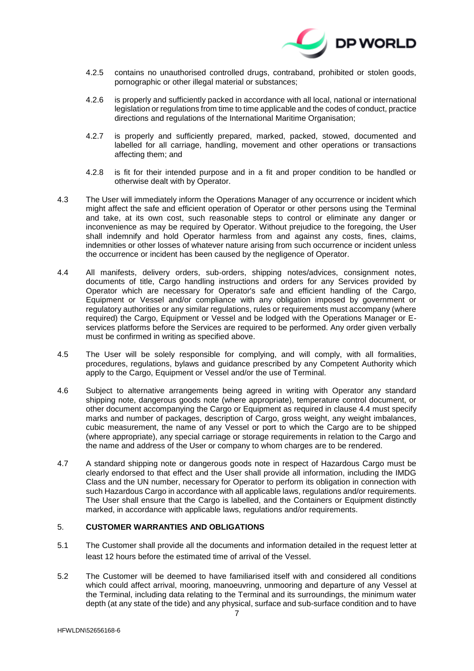

- 4.2.5 contains no unauthorised controlled drugs, contraband, prohibited or stolen goods, pornographic or other illegal material or substances;
- 4.2.6 is properly and sufficiently packed in accordance with all local, national or international legislation or regulations from time to time applicable and the codes of conduct, practice directions and regulations of the International Maritime Organisation;
- 4.2.7 is properly and sufficiently prepared, marked, packed, stowed, documented and labelled for all carriage, handling, movement and other operations or transactions affecting them; and
- 4.2.8 is fit for their intended purpose and in a fit and proper condition to be handled or otherwise dealt with by Operator.
- 4.3 The User will immediately inform the Operations Manager of any occurrence or incident which might affect the safe and efficient operation of Operator or other persons using the Terminal and take, at its own cost, such reasonable steps to control or eliminate any danger or inconvenience as may be required by Operator. Without prejudice to the foregoing, the User shall indemnify and hold Operator harmless from and against any costs, fines, claims, indemnities or other losses of whatever nature arising from such occurrence or incident unless the occurrence or incident has been caused by the negligence of Operator.
- <span id="page-6-0"></span>4.4 All manifests, delivery orders, sub-orders, shipping notes/advices, consignment notes, documents of title, Cargo handling instructions and orders for any Services provided by Operator which are necessary for Operator's safe and efficient handling of the Cargo, Equipment or Vessel and/or compliance with any obligation imposed by government or regulatory authorities or any similar regulations, rules or requirements must accompany (where required) the Cargo, Equipment or Vessel and be lodged with the Operations Manager or Eservices platforms before the Services are required to be performed. Any order given verbally must be confirmed in writing as specified above.
- 4.5 The User will be solely responsible for complying, and will comply, with all formalities, procedures, regulations, bylaws and guidance prescribed by any Competent Authority which apply to the Cargo, Equipment or Vessel and/or the use of Terminal.
- 4.6 Subject to alternative arrangements being agreed in writing with Operator any standard shipping note, dangerous goods note (where appropriate), temperature control document, or other document accompanying the Cargo or Equipment as required in clause [4.4](#page-6-0) must specify marks and number of packages, description of Cargo, gross weight, any weight imbalances, cubic measurement, the name of any Vessel or port to which the Cargo are to be shipped (where appropriate), any special carriage or storage requirements in relation to the Cargo and the name and address of the User or company to whom charges are to be rendered.
- 4.7 A standard shipping note or dangerous goods note in respect of Hazardous Cargo must be clearly endorsed to that effect and the User shall provide all information, including the IMDG Class and the UN number, necessary for Operator to perform its obligation in connection with such Hazardous Cargo in accordance with all applicable laws, regulations and/or requirements. The User shall ensure that the Cargo is labelled, and the Containers or Equipment distinctly marked, in accordance with applicable laws, regulations and/or requirements.

# <span id="page-6-1"></span>5. **CUSTOMER WARRANTIES AND OBLIGATIONS**

- 5.1 The Customer shall provide all the documents and information detailed in the request letter at least 12 hours before the estimated time of arrival of the Vessel.
- 5.2 The Customer will be deemed to have familiarised itself with and considered all conditions which could affect arrival, mooring, manoeuvring, unmooring and departure of any Vessel at the Terminal, including data relating to the Terminal and its surroundings, the minimum water depth (at any state of the tide) and any physical, surface and sub-surface condition and to have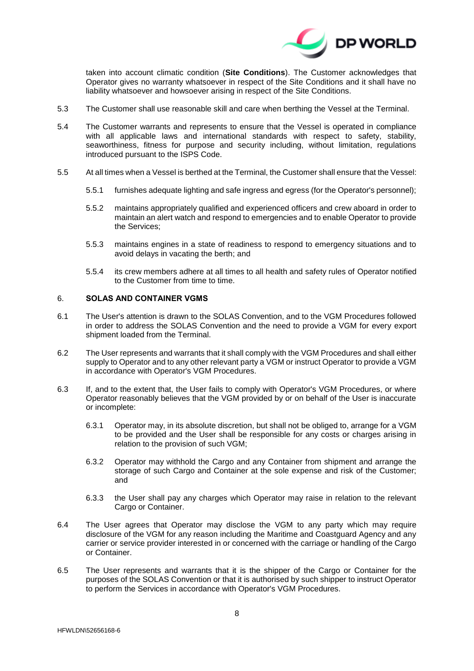

taken into account climatic condition (**Site Conditions**). The Customer acknowledges that Operator gives no warranty whatsoever in respect of the Site Conditions and it shall have no liability whatsoever and howsoever arising in respect of the Site Conditions.

- 5.3 The Customer shall use reasonable skill and care when berthing the Vessel at the Terminal.
- 5.4 The Customer warrants and represents to ensure that the Vessel is operated in compliance with all applicable laws and international standards with respect to safety, stability, seaworthiness, fitness for purpose and security including, without limitation, regulations introduced pursuant to the ISPS Code.
- 5.5 At all times when a Vessel is berthed at the Terminal, the Customer shall ensure that the Vessel:
	- 5.5.1 furnishes adequate lighting and safe ingress and egress (for the Operator's personnel);
	- 5.5.2 maintains appropriately qualified and experienced officers and crew aboard in order to maintain an alert watch and respond to emergencies and to enable Operator to provide the Services;
	- 5.5.3 maintains engines in a state of readiness to respond to emergency situations and to avoid delays in vacating the berth; and
	- 5.5.4 its crew members adhere at all times to all health and safety rules of Operator notified to the Customer from time to time.

#### <span id="page-7-0"></span>6. **SOLAS AND CONTAINER VGMS**

- 6.1 The User's attention is drawn to the SOLAS Convention, and to the VGM Procedures followed in order to address the SOLAS Convention and the need to provide a VGM for every export shipment loaded from the Terminal.
- 6.2 The User represents and warrants that it shall comply with the VGM Procedures and shall either supply to Operator and to any other relevant party a VGM or instruct Operator to provide a VGM in accordance with Operator's VGM Procedures.
- 6.3 If, and to the extent that, the User fails to comply with Operator's VGM Procedures, or where Operator reasonably believes that the VGM provided by or on behalf of the User is inaccurate or incomplete:
	- 6.3.1 Operator may, in its absolute discretion, but shall not be obliged to, arrange for a VGM to be provided and the User shall be responsible for any costs or charges arising in relation to the provision of such VGM;
	- 6.3.2 Operator may withhold the Cargo and any Container from shipment and arrange the storage of such Cargo and Container at the sole expense and risk of the Customer; and
	- 6.3.3 the User shall pay any charges which Operator may raise in relation to the relevant Cargo or Container.
- 6.4 The User agrees that Operator may disclose the VGM to any party which may require disclosure of the VGM for any reason including the Maritime and Coastguard Agency and any carrier or service provider interested in or concerned with the carriage or handling of the Cargo or Container.
- 6.5 The User represents and warrants that it is the shipper of the Cargo or Container for the purposes of the SOLAS Convention or that it is authorised by such shipper to instruct Operator to perform the Services in accordance with Operator's VGM Procedures.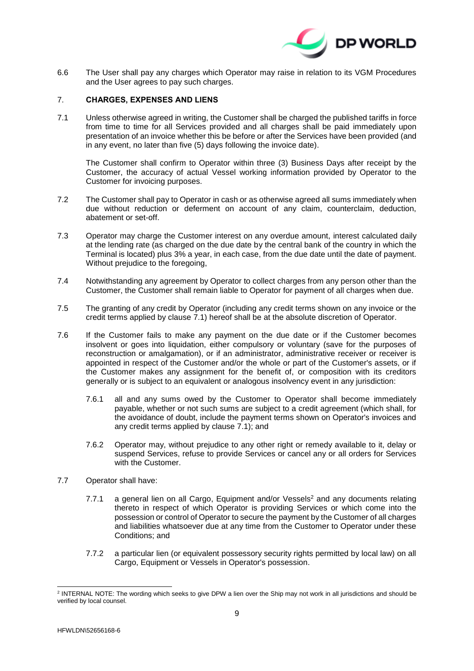

6.6 The User shall pay any charges which Operator may raise in relation to its VGM Procedures and the User agrees to pay such charges.

# <span id="page-8-2"></span>7. **CHARGES, EXPENSES AND LIENS**

<span id="page-8-0"></span>7.1 Unless otherwise agreed in writing, the Customer shall be charged the published tariffs in force from time to time for all Services provided and all charges shall be paid immediately upon presentation of an invoice whether this be before or after the Services have been provided (and in any event, no later than five (5) days following the invoice date).

The Customer shall confirm to Operator within three (3) Business Days after receipt by the Customer, the accuracy of actual Vessel working information provided by Operator to the Customer for invoicing purposes.

- 7.2 The Customer shall pay to Operator in cash or as otherwise agreed all sums immediately when due without reduction or deferment on account of any claim, counterclaim, deduction, abatement or set-off.
- 7.3 Operator may charge the Customer interest on any overdue amount, interest calculated daily at the lending rate (as charged on the due date by the central bank of the country in which the Terminal is located) plus 3% a year, in each case, from the due date until the date of payment. Without prejudice to the foregoing,
- 7.4 Notwithstanding any agreement by Operator to collect charges from any person other than the Customer, the Customer shall remain liable to Operator for payment of all charges when due.
- 7.5 The granting of any credit by Operator (including any credit terms shown on any invoice or the credit terms applied by clause [7.1\)](#page-8-0) hereof shall be at the absolute discretion of Operator.
- 7.6 If the Customer fails to make any payment on the due date or if the Customer becomes insolvent or goes into liquidation, either compulsory or voluntary (save for the purposes of reconstruction or amalgamation), or if an administrator, administrative receiver or receiver is appointed in respect of the Customer and/or the whole or part of the Customer's assets, or if the Customer makes any assignment for the benefit of, or composition with its creditors generally or is subject to an equivalent or analogous insolvency event in any jurisdiction:
	- 7.6.1 all and any sums owed by the Customer to Operator shall become immediately payable, whether or not such sums are subject to a credit agreement (which shall, for the avoidance of doubt, include the payment terms shown on Operator's invoices and any credit terms applied by clause [7.1\)](#page-8-0); and
	- 7.6.2 Operator may, without prejudice to any other right or remedy available to it, delay or suspend Services, refuse to provide Services or cancel any or all orders for Services with the Customer.
- <span id="page-8-1"></span>7.7 Operator shall have:
	- 7.7.1 a general lien on all Cargo, Equipment and/or Vessels <sup>2</sup> and any documents relating thereto in respect of which Operator is providing Services or which come into the possession or control of Operator to secure the payment by the Customer of all charges and liabilities whatsoever due at any time from the Customer to Operator under these Conditions; and
	- 7.7.2 a particular lien (or equivalent possessory security rights permitted by local law) on all Cargo, Equipment or Vessels in Operator's possession.

-

<sup>&</sup>lt;sup>2</sup> INTERNAL NOTE: The wording which seeks to give DPW a lien over the Ship may not work in all jurisdictions and should be verified by local counsel.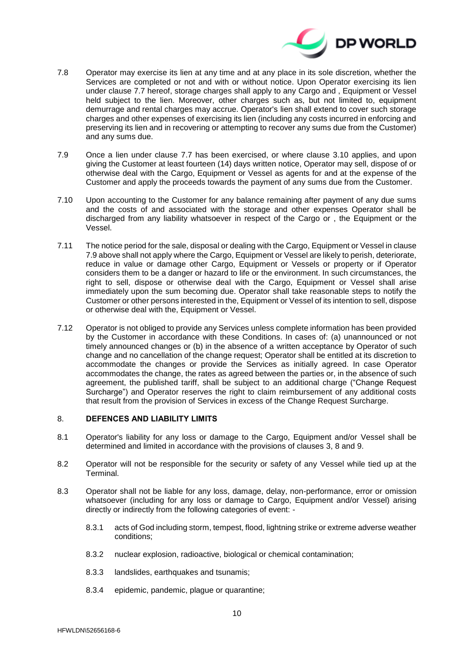

- 7.8 Operator may exercise its lien at any time and at any place in its sole discretion, whether the Services are completed or not and with or without notice. Upon Operator exercising its lien under clause [7.7](#page-8-1) hereof, storage charges shall apply to any Cargo and , Equipment or Vessel held subject to the lien. Moreover, other charges such as, but not limited to, equipment demurrage and rental charges may accrue. Operator's lien shall extend to cover such storage charges and other expenses of exercising its lien (including any costs incurred in enforcing and preserving its lien and in recovering or attempting to recover any sums due from the Customer) and any sums due.
- <span id="page-9-0"></span>7.9 Once a lien under clause [7.7](#page-8-1) has been exercised, or where clause [3.10](#page-5-0) applies, and upon giving the Customer at least fourteen (14) days written notice, Operator may sell, dispose of or otherwise deal with the Cargo, Equipment or Vessel as agents for and at the expense of the Customer and apply the proceeds towards the payment of any sums due from the Customer.
- 7.10 Upon accounting to the Customer for any balance remaining after payment of any due sums and the costs of and associated with the storage and other expenses Operator shall be discharged from any liability whatsoever in respect of the Cargo or , the Equipment or the Vessel.
- <span id="page-9-1"></span>7.11 The notice period for the sale, disposal or dealing with the Cargo, Equipment or Vessel in clause [7.9](#page-9-0) above shall not apply where the Cargo, Equipment or Vessel are likely to perish, deteriorate, reduce in value or damage other Cargo, Equipment or Vessels or property or if Operator considers them to be a danger or hazard to life or the environment. In such circumstances, the right to sell, dispose or otherwise deal with the Cargo, Equipment or Vessel shall arise immediately upon the sum becoming due. Operator shall take reasonable steps to notify the Customer or other persons interested in the, Equipment or Vessel of its intention to sell, dispose or otherwise deal with the, Equipment or Vessel.
- 7.12 Operator is not obliged to provide any Services unless complete information has been provided by the Customer in accordance with these Conditions. In cases of: (a) unannounced or not timely announced changes or (b) in the absence of a written acceptance by Operator of such change and no cancellation of the change request; Operator shall be entitled at its discretion to accommodate the changes or provide the Services as initially agreed. In case Operator accommodates the change, the rates as agreed between the parties or, in the absence of such agreement, the published tariff, shall be subject to an additional charge ("Change Request Surcharge") and Operator reserves the right to claim reimbursement of any additional costs that result from the provision of Services in excess of the Change Request Surcharge.

### <span id="page-9-2"></span>8. **DEFENCES AND LIABILITY LIMITS**

- 8.1 Operator's liability for any loss or damage to the Cargo, Equipment and/or Vessel shall be determined and limited in accordance with the provisions of clauses [3,](#page-3-1) [8](#page-9-2) and [9.](#page-12-0)
- 8.2 Operator will not be responsible for the security or safety of any Vessel while tied up at the Terminal.
- 8.3 Operator shall not be liable for any loss, damage, delay, non-performance, error or omission whatsoever (including for any loss or damage to Cargo, Equipment and/or Vessel) arising directly or indirectly from the following categories of event: -
	- 8.3.1 acts of God including storm, tempest, flood, lightning strike or extreme adverse weather conditions;
	- 8.3.2 nuclear explosion, radioactive, biological or chemical contamination;
	- 8.3.3 landslides, earthquakes and tsunamis;
	- 8.3.4 epidemic, pandemic, plague or quarantine;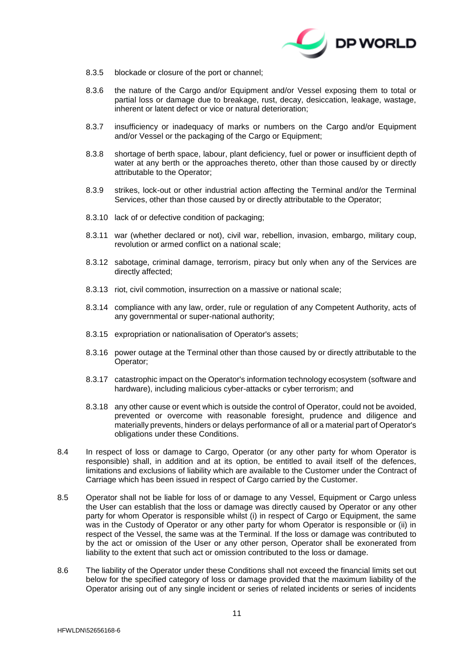

- 8.3.5 blockade or closure of the port or channel;
- 8.3.6 the nature of the Cargo and/or Equipment and/or Vessel exposing them to total or partial loss or damage due to breakage, rust, decay, desiccation, leakage, wastage, inherent or latent defect or vice or natural deterioration;
- 8.3.7 insufficiency or inadequacy of marks or numbers on the Cargo and/or Equipment and/or Vessel or the packaging of the Cargo or Equipment:
- 8.3.8 shortage of berth space, labour, plant deficiency, fuel or power or insufficient depth of water at any berth or the approaches thereto, other than those caused by or directly attributable to the Operator;
- 8.3.9 strikes, lock-out or other industrial action affecting the Terminal and/or the Terminal Services, other than those caused by or directly attributable to the Operator;
- 8.3.10 lack of or defective condition of packaging;
- 8.3.11 war (whether declared or not), civil war, rebellion, invasion, embargo, military coup, revolution or armed conflict on a national scale;
- 8.3.12 sabotage, criminal damage, terrorism, piracy but only when any of the Services are directly affected;
- 8.3.13 riot, civil commotion, insurrection on a massive or national scale;
- 8.3.14 compliance with any law, order, rule or regulation of any Competent Authority, acts of any governmental or super-national authority;
- 8.3.15 expropriation or nationalisation of Operator's assets;
- 8.3.16 power outage at the Terminal other than those caused by or directly attributable to the Operator;
- 8.3.17 catastrophic impact on the Operator's information technology ecosystem (software and hardware), including malicious cyber-attacks or cyber terrorism; and
- 8.3.18 any other cause or event which is outside the control of Operator, could not be avoided, prevented or overcome with reasonable foresight, prudence and diligence and materially prevents, hinders or delays performance of all or a material part of Operator's obligations under these Conditions.
- 8.4 In respect of loss or damage to Cargo, Operator (or any other party for whom Operator is responsible) shall, in addition and at its option, be entitled to avail itself of the defences, limitations and exclusions of liability which are available to the Customer under the Contract of Carriage which has been issued in respect of Cargo carried by the Customer.
- 8.5 Operator shall not be liable for loss of or damage to any Vessel, Equipment or Cargo unless the User can establish that the loss or damage was directly caused by Operator or any other party for whom Operator is responsible whilst (i) in respect of Cargo or Equipment, the same was in the Custody of Operator or any other party for whom Operator is responsible or (ii) in respect of the Vessel, the same was at the Terminal. If the loss or damage was contributed to by the act or omission of the User or any other person, Operator shall be exonerated from liability to the extent that such act or omission contributed to the loss or damage.
- <span id="page-10-0"></span>8.6 The liability of the Operator under these Conditions shall not exceed the financial limits set out below for the specified category of loss or damage provided that the maximum liability of the Operator arising out of any single incident or series of related incidents or series of incidents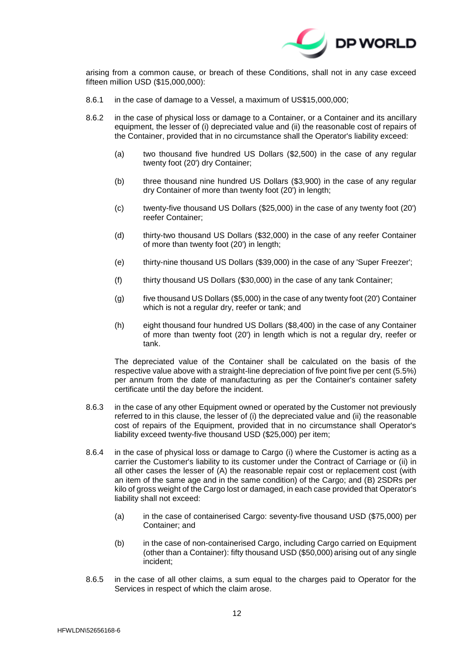

arising from a common cause, or breach of these Conditions, shall not in any case exceed fifteen million USD (\$15,000,000):

- 8.6.1 in the case of damage to a Vessel, a maximum of US\$15,000,000;
- 8.6.2 in the case of physical loss or damage to a Container, or a Container and its ancillary equipment, the lesser of (i) depreciated value and (ii) the reasonable cost of repairs of the Container, provided that in no circumstance shall the Operator's liability exceed:
	- (a) two thousand five hundred US Dollars (\$2,500) in the case of any regular twenty foot (20') dry Container;
	- (b) three thousand nine hundred US Dollars (\$3,900) in the case of any regular dry Container of more than twenty foot (20') in length;
	- (c) twenty-five thousand US Dollars (\$25,000) in the case of any twenty foot (20') reefer Container;
	- (d) thirty-two thousand US Dollars (\$32,000) in the case of any reefer Container of more than twenty foot (20') in length;
	- (e) thirty-nine thousand US Dollars (\$39,000) in the case of any 'Super Freezer';
	- (f) thirty thousand US Dollars (\$30,000) in the case of any tank Container;
	- (g)  $f(x)$  five thousand US Dollars (\$5,000) in the case of any twenty foot (20') Container which is not a regular dry, reefer or tank; and
	- (h) eight thousand four hundred US Dollars (\$8,400) in the case of any Container of more than twenty foot (20') in length which is not a regular dry, reefer or tank.

The depreciated value of the Container shall be calculated on the basis of the respective value above with a straight-line depreciation of five point five per cent (5.5%) per annum from the date of manufacturing as per the Container's container safety certificate until the day before the incident.

- 8.6.3 in the case of any other Equipment owned or operated by the Customer not previously referred to in this clause, the lesser of (i) the depreciated value and (ii) the reasonable cost of repairs of the Equipment, provided that in no circumstance shall Operator's liability exceed twenty-five thousand USD (\$25,000) per item;
- 8.6.4 in the case of physical loss or damage to Cargo (i) where the Customer is acting as a carrier the Customer's liability to its customer under the Contract of Carriage or (ii) in all other cases the lesser of (A) the reasonable repair cost or replacement cost (with an item of the same age and in the same condition) of the Cargo; and (B) 2SDRs per kilo of gross weight of the Cargo lost or damaged, in each case provided that Operator's liability shall not exceed:
	- (a) in the case of containerised Cargo: seventy-five thousand USD (\$75,000) per Container; and
	- (b) in the case of non-containerised Cargo, including Cargo carried on Equipment (other than a Container): fifty thousand USD (\$50,000) arising out of any single incident;
- <span id="page-11-0"></span>8.6.5 in the case of all other claims, a sum equal to the charges paid to Operator for the Services in respect of which the claim arose.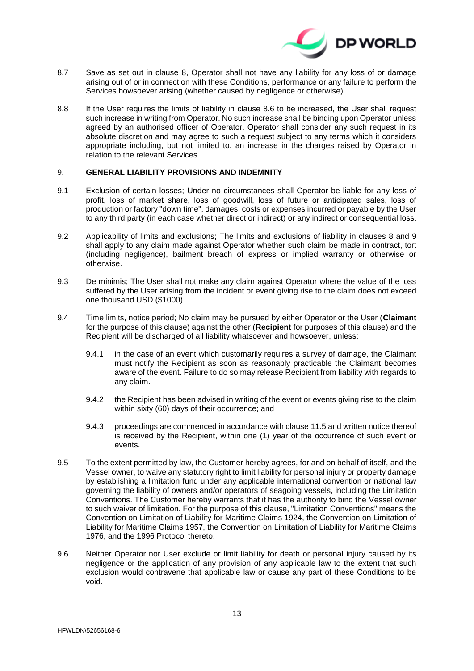

- <span id="page-12-1"></span>8.7 Save as set out in clause [8,](#page-9-2) Operator shall not have any liability for any loss of or damage arising out of or in connection with these Conditions, performance or any failure to perform the Services howsoever arising (whether caused by negligence or otherwise).
- 8.8 If the User requires the limits of liability in clause [8.6](#page-10-0) to be increased, the User shall request such increase in writing from Operator. No such increase shall be binding upon Operator unless agreed by an authorised officer of Operator. Operator shall consider any such request in its absolute discretion and may agree to such a request subject to any terms which it considers appropriate including, but not limited to, an increase in the charges raised by Operator in relation to the relevant Services.

# <span id="page-12-0"></span>9. **GENERAL LIABILITY PROVISIONS AND INDEMNITY**

- 9.1 Exclusion of certain losses; Under no circumstances shall Operator be liable for any loss of profit, loss of market share, loss of goodwill, loss of future or anticipated sales, loss of production or factory "down time", damages, costs or expenses incurred or payable by the User to any third party (in each case whether direct or indirect) or any indirect or consequential loss.
- 9.2 Applicability of limits and exclusions; The limits and exclusions of liability in clauses [8](#page-9-2) and [9](#page-12-0) shall apply to any claim made against Operator whether such claim be made in contract, tort (including negligence), bailment breach of express or implied warranty or otherwise or otherwise.
- 9.3 De minimis; The User shall not make any claim against Operator where the value of the loss suffered by the User arising from the incident or event giving rise to the claim does not exceed one thousand USD (\$1000).
- 9.4 Time limits, notice period; No claim may be pursued by either Operator or the User (**Claimant**  for the purpose of this clause) against the other (**Recipient** for purposes of this clause) and the Recipient will be discharged of all liability whatsoever and howsoever, unless:
	- 9.4.1 in the case of an event which customarily requires a survey of damage, the Claimant must notify the Recipient as soon as reasonably practicable the Claimant becomes aware of the event. Failure to do so may release Recipient from liability with regards to any claim.
	- 9.4.2 the Recipient has been advised in writing of the event or events giving rise to the claim within sixty (60) days of their occurrence; and
	- 9.4.3 proceedings are commenced in accordance with clause 11.5 and written notice thereof is received by the Recipient, within one (1) year of the occurrence of such event or events.
- 9.5 To the extent permitted by law, the Customer hereby agrees, for and on behalf of itself, and the Vessel owner, to waive any statutory right to limit liability for personal injury or property damage by establishing a limitation fund under any applicable international convention or national law governing the liability of owners and/or operators of seagoing vessels, including the Limitation Conventions. The Customer hereby warrants that it has the authority to bind the Vessel owner to such waiver of limitation. For the purpose of this clause, "Limitation Conventions" means the Convention on Limitation of Liability for Maritime Claims 1924, the Convention on Limitation of Liability for Maritime Claims 1957, the Convention on Limitation of Liability for Maritime Claims 1976, and the 1996 Protocol thereto.
- 9.6 Neither Operator nor User exclude or limit liability for death or personal injury caused by its negligence or the application of any provision of any applicable law to the extent that such exclusion would contravene that applicable law or cause any part of these Conditions to be void.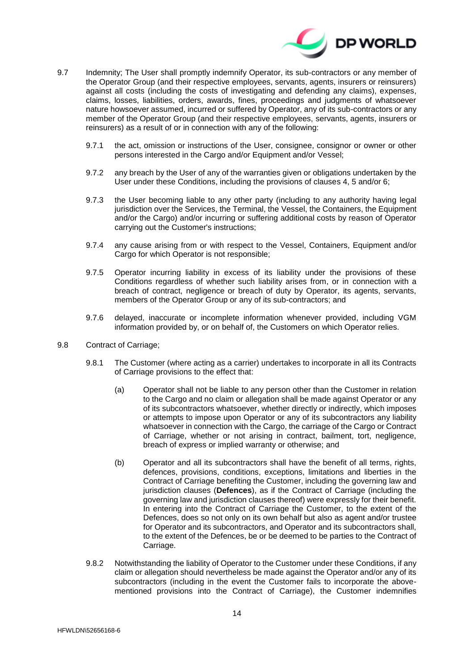

- 9.7 Indemnity; The User shall promptly indemnify Operator, its sub-contractors or any member of the Operator Group (and their respective employees, servants, agents, insurers or reinsurers) against all costs (including the costs of investigating and defending any claims), expenses, claims, losses, liabilities, orders, awards, fines, proceedings and judgments of whatsoever nature howsoever assumed, incurred or suffered by Operator, any of its sub-contractors or any member of the Operator Group (and their respective employees, servants, agents, insurers or reinsurers) as a result of or in connection with any of the following:
	- 9.7.1 the act, omission or instructions of the User, consignee, consignor or owner or other persons interested in the Cargo and/or Equipment and/or Vessel;
	- 9.7.2 any breach by the User of any of the warranties given or obligations undertaken by the User under these Conditions, including the provisions of clauses [4,](#page-5-1) [5](#page-6-1) and/or [6;](#page-7-0)
	- 9.7.3 the User becoming liable to any other party (including to any authority having legal jurisdiction over the Services, the Terminal, the Vessel, the Containers, the Equipment and/or the Cargo) and/or incurring or suffering additional costs by reason of Operator carrying out the Customer's instructions;
	- 9.7.4 any cause arising from or with respect to the Vessel, Containers, Equipment and/or Cargo for which Operator is not responsible;
	- 9.7.5 Operator incurring liability in excess of its liability under the provisions of these Conditions regardless of whether such liability arises from, or in connection with a breach of contract, negligence or breach of duty by Operator, its agents, servants, members of the Operator Group or any of its sub-contractors; and
	- 9.7.6 delayed, inaccurate or incomplete information whenever provided, including VGM information provided by, or on behalf of, the Customers on which Operator relies.
- <span id="page-13-0"></span>9.8 Contract of Carriage;
	- 9.8.1 The Customer (where acting as a carrier) undertakes to incorporate in all its Contracts of Carriage provisions to the effect that:
		- (a) Operator shall not be liable to any person other than the Customer in relation to the Cargo and no claim or allegation shall be made against Operator or any of its subcontractors whatsoever, whether directly or indirectly, which imposes or attempts to impose upon Operator or any of its subcontractors any liability whatsoever in connection with the Cargo, the carriage of the Cargo or Contract of Carriage, whether or not arising in contract, bailment, tort, negligence, breach of express or implied warranty or otherwise; and
		- (b) Operator and all its subcontractors shall have the benefit of all terms, rights, defences, provisions, conditions, exceptions, limitations and liberties in the Contract of Carriage benefiting the Customer, including the governing law and jurisdiction clauses (**Defences**), as if the Contract of Carriage (including the governing law and jurisdiction clauses thereof) were expressly for their benefit. In entering into the Contract of Carriage the Customer, to the extent of the Defences, does so not only on its own behalf but also as agent and/or trustee for Operator and its subcontractors, and Operator and its subcontractors shall, to the extent of the Defences, be or be deemed to be parties to the Contract of Carriage.
	- 9.8.2 Notwithstanding the liability of Operator to the Customer under these Conditions, if any claim or allegation should nevertheless be made against the Operator and/or any of its subcontractors (including in the event the Customer fails to incorporate the abovementioned provisions into the Contract of Carriage), the Customer indemnifies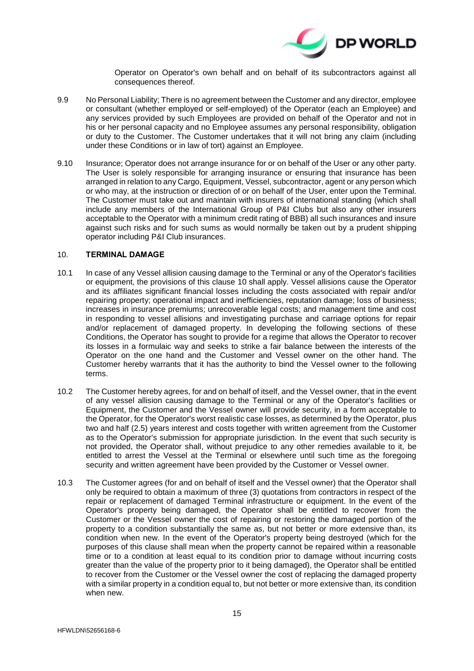

Operator on Operator's own behalf and on behalf of its subcontractors against all consequences thereof.

- 9.9 No Personal Liability; There is no agreement between the Customer and any director, employee or consultant (whether employed or self-employed) of the Operator (each an Employee) and any services provided by such Employees are provided on behalf of the Operator and not in his or her personal capacity and no Employee assumes any personal responsibility, obligation or duty to the Customer. The Customer undertakes that it will not bring any claim (including under these Conditions or in law of tort) against an Employee.
- 9.10 Insurance; Operator does not arrange insurance for or on behalf of the User or any other party. The User is solely responsible for arranging insurance or ensuring that insurance has been arranged in relation to any Cargo, Equipment, Vessel, subcontractor, agent or any person which or who may, at the instruction or direction of or on behalf of the User, enter upon the Terminal. The Customer must take out and maintain with insurers of international standing (which shall include any members of the International Group of P&I Clubs but also any other insurers acceptable to the Operator with a minimum credit rating of BBB) all such insurances and insure against such risks and for such sums as would normally be taken out by a prudent shipping operator including P&I Club insurances.

#### <span id="page-14-0"></span>10. **TERMINAL DAMAGE**

- 10.1 In case of any Vessel allision causing damage to the Terminal or any of the Operator's facilities or equipment, the provisions of this clause [10](#page-14-0) shall apply. Vessel allisions cause the Operator and its affiliates significant financial losses including the costs associated with repair and/or repairing property; operational impact and inefficiencies, reputation damage; loss of business; increases in insurance premiums; unrecoverable legal costs; and management time and cost in responding to vessel allisions and investigating purchase and carriage options for repair and/or replacement of damaged property. In developing the following sections of these Conditions, the Operator has sought to provide for a regime that allows the Operator to recover its losses in a formulaic way and seeks to strike a fair balance between the interests of the Operator on the one hand and the Customer and Vessel owner on the other hand. The Customer hereby warrants that it has the authority to bind the Vessel owner to the following terms.
- 10.2 The Customer hereby agrees, for and on behalf of itself, and the Vessel owner, that in the event of any vessel allision causing damage to the Terminal or any of the Operator's facilities or Equipment, the Customer and the Vessel owner will provide security, in a form acceptable to the Operator, for the Operator's worst realistic case losses, as determined by the Operator, plus two and half (2.5) years interest and costs together with written agreement from the Customer as to the Operator's submission for appropriate jurisdiction. In the event that such security is not provided, the Operator shall, without prejudice to any other remedies available to it, be entitled to arrest the Vessel at the Terminal or elsewhere until such time as the foregoing security and written agreement have been provided by the Customer or Vessel owner.
- 10.3 The Customer agrees (for and on behalf of itself and the Vessel owner) that the Operator shall only be required to obtain a maximum of three (3) quotations from contractors in respect of the repair or replacement of damaged Terminal infrastructure or equipment. In the event of the Operator's property being damaged, the Operator shall be entitled to recover from the Customer or the Vessel owner the cost of repairing or restoring the damaged portion of the property to a condition substantially the same as, but not better or more extensive than, its condition when new. In the event of the Operator's property being destroyed (which for the purposes of this clause shall mean when the property cannot be repaired within a reasonable time or to a condition at least equal to its condition prior to damage without incurring costs greater than the value of the property prior to it being damaged), the Operator shall be entitled to recover from the Customer or the Vessel owner the cost of replacing the damaged property with a similar property in a condition equal to, but not better or more extensive than, its condition when new.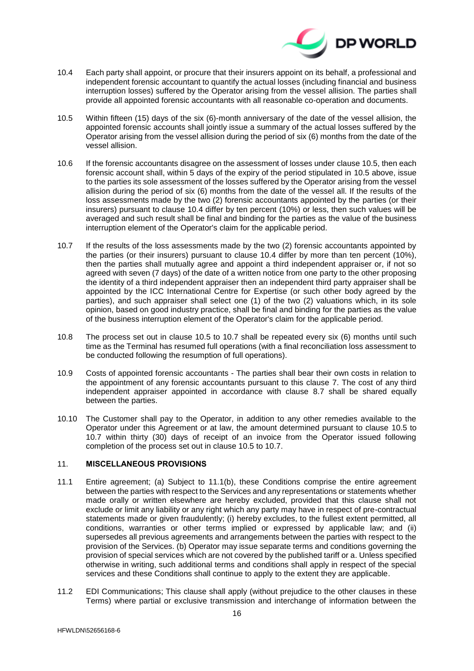

- <span id="page-15-0"></span>10.4 Each party shall appoint, or procure that their insurers appoint on its behalf, a professional and independent forensic accountant to quantify the actual losses (including financial and business interruption losses) suffered by the Operator arising from the vessel allision. The parties shall provide all appointed forensic accountants with all reasonable co-operation and documents.
- <span id="page-15-1"></span>10.5 Within fifteen (15) days of the six (6)-month anniversary of the date of the vessel allision, the appointed forensic accounts shall jointly issue a summary of the actual losses suffered by the Operator arising from the vessel allision during the period of six (6) months from the date of the vessel allision.
- 10.6 If the forensic accountants disagree on the assessment of losses under clause 10.5, then each forensic account shall, within 5 days of the expiry of the period stipulated in 10.5 above, issue to the parties its sole assessment of the losses suffered by the Operator arising from the vessel allision during the period of six (6) months from the date of the vessel all. If the results of the loss assessments made by the two (2) forensic accountants appointed by the parties (or their insurers) pursuant to clause [10.4](#page-15-0) differ by ten percent (10%) or less, then such values will be averaged and such result shall be final and binding for the parties as the value of the business interruption element of the Operator's claim for the applicable period.
- <span id="page-15-2"></span>10.7 If the results of the loss assessments made by the two (2) forensic accountants appointed by the parties (or their insurers) pursuant to clause [10.4](#page-15-0) differ by more than ten percent (10%), then the parties shall mutually agree and appoint a third independent appraiser or, if not so agreed with seven (7 days) of the date of a written notice from one party to the other proposing the identity of a third independent appraiser then an independent third party appraiser shall be appointed by the ICC International Centre for Expertise (or such other body agreed by the parties), and such appraiser shall select one (1) of the two (2) valuations which, in its sole opinion, based on good industry practice, shall be final and binding for the parties as the value of the business interruption element of the Operator's claim for the applicable period.
- 10.8 The process set out in clause [10.5](#page-15-1) to [10.7](#page-15-2) shall be repeated every six (6) months until such time as the Terminal has resumed full operations (with a final reconciliation loss assessment to be conducted following the resumption of full operations).
- 10.9 Costs of appointed forensic accountants The parties shall bear their own costs in relation to the appointment of any forensic accountants pursuant to this clause [7.](#page-8-2) The cost of any third independent appraiser appointed in accordance with clause [8.7](#page-12-1) shall be shared equally between the parties.
- 10.10 The Customer shall pay to the Operator, in addition to any other remedies available to the Operator under this Agreement or at law, the amount determined pursuant to clause [10.5](#page-15-1) to [10.7](#page-15-2) within thirty (30) days of receipt of an invoice from the Operator issued following completion of the process set out in clause [10.5](#page-15-1) to [10.7.](#page-15-2)

# 11. **MISCELLANEOUS PROVISIONS**

- 11.1 Entire agreement; (a) Subject to 11.1(b), these Conditions comprise the entire agreement between the parties with respect to the Services and any representations or statements whether made orally or written elsewhere are hereby excluded, provided that this clause shall not exclude or limit any liability or any right which any party may have in respect of pre-contractual statements made or given fraudulently; (i) hereby excludes, to the fullest extent permitted, all conditions, warranties or other terms implied or expressed by applicable law; and (ii) supersedes all previous agreements and arrangements between the parties with respect to the provision of the Services. (b) Operator may issue separate terms and conditions governing the provision of special services which are not covered by the published tariff or a. Unless specified otherwise in writing, such additional terms and conditions shall apply in respect of the special services and these Conditions shall continue to apply to the extent they are applicable.
- 11.2 EDI Communications; This clause shall apply (without prejudice to the other clauses in these Terms) where partial or exclusive transmission and interchange of information between the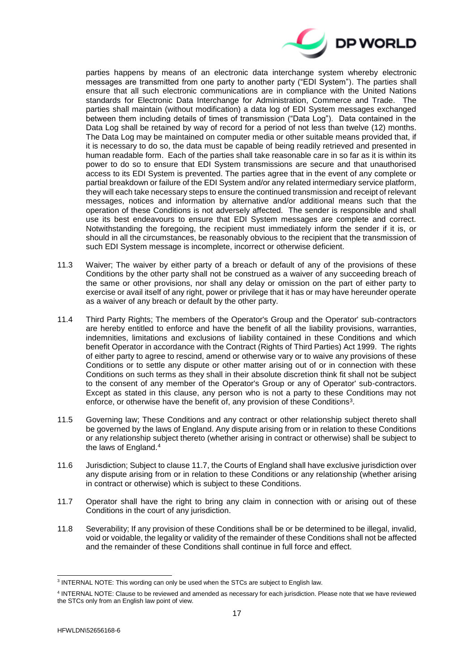

parties happens by means of an electronic data interchange system whereby electronic messages are transmitted from one party to another party ("EDI System"). The parties shall ensure that all such electronic communications are in compliance with the United Nations standards for Electronic Data Interchange for Administration, Commerce and Trade. The parties shall maintain (without modification) a data log of EDI System messages exchanged between them including details of times of transmission ("Data Log"). Data contained in the Data Log shall be retained by way of record for a period of not less than twelve (12) months. The Data Log may be maintained on computer media or other suitable means provided that, if it is necessary to do so, the data must be capable of being readily retrieved and presented in human readable form. Each of the parties shall take reasonable care in so far as it is within its power to do so to ensure that EDI System transmissions are secure and that unauthorised access to its EDI System is prevented. The parties agree that in the event of any complete or partial breakdown or failure of the EDI System and/or any related intermediary service platform, they will each take necessary steps to ensure the continued transmission and receipt of relevant messages, notices and information by alternative and/or additional means such that the operation of these Conditions is not adversely affected. The sender is responsible and shall use its best endeavours to ensure that EDI System messages are complete and correct. Notwithstanding the foregoing, the recipient must immediately inform the sender if it is, or should in all the circumstances, be reasonably obvious to the recipient that the transmission of such EDI System message is incomplete, incorrect or otherwise deficient.

- 11.3 Waiver; The waiver by either party of a breach or default of any of the provisions of these Conditions by the other party shall not be construed as a waiver of any succeeding breach of the same or other provisions, nor shall any delay or omission on the part of either party to exercise or avail itself of any right, power or privilege that it has or may have hereunder operate as a waiver of any breach or default by the other party.
- 11.4 Third Party Rights; The members of the Operator's Group and the Operator' sub-contractors are hereby entitled to enforce and have the benefit of all the liability provisions, warranties, indemnities, limitations and exclusions of liability contained in these Conditions and which benefit Operator in accordance with the Contract (Rights of Third Parties) Act 1999. The rights of either party to agree to rescind, amend or otherwise vary or to waive any provisions of these Conditions or to settle any dispute or other matter arising out of or in connection with these Conditions on such terms as they shall in their absolute discretion think fit shall not be subject to the consent of any member of the Operator's Group or any of Operator' sub-contractors. Except as stated in this clause, any person who is not a party to these Conditions may not enforce, or otherwise have the benefit of, any provision of these Conditions<sup>3</sup>.
- 11.5 Governing law; These Conditions and any contract or other relationship subject thereto shall be governed by the laws of England. Any dispute arising from or in relation to these Conditions or any relationship subject thereto (whether arising in contract or otherwise) shall be subject to the laws of England.<sup>4</sup>
- 11.6 Jurisdiction; Subject to clause [11.7,](#page-16-0) the Courts of England shall have exclusive jurisdiction over any dispute arising from or in relation to these Conditions or any relationship (whether arising in contract or otherwise) which is subject to these Conditions.
- <span id="page-16-0"></span>11.7 Operator shall have the right to bring any claim in connection with or arising out of these Conditions in the court of any jurisdiction.
- 11.8 Severability; If any provision of these Conditions shall be or be determined to be illegal, invalid, void or voidable, the legality or validity of the remainder of these Conditions shall not be affected and the remainder of these Conditions shall continue in full force and effect.

-

<sup>&</sup>lt;sup>3</sup> INTERNAL NOTE: This wording can only be used when the STCs are subject to English law.

<sup>4</sup> INTERNAL NOTE: Clause to be reviewed and amended as necessary for each jurisdiction. Please note that we have reviewed the STCs only from an English law point of view.